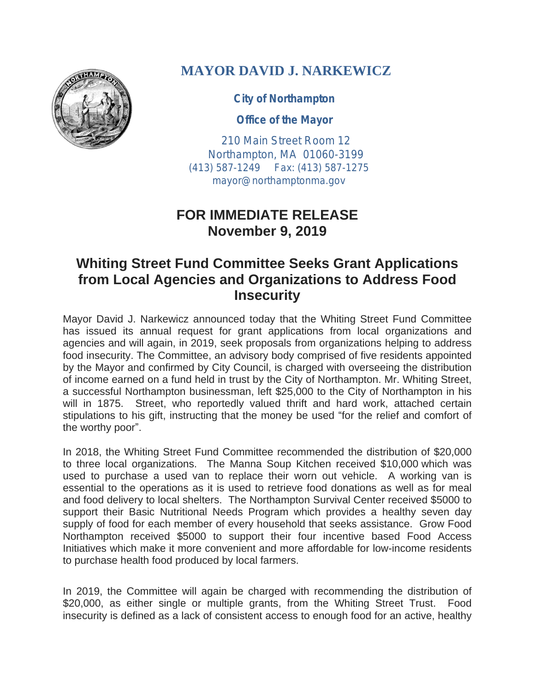

## **MAYOR DAVID J. NARKEWICZ**

**City of Northampton**

**Office of the Mayor**

210 Main Street Room 12 Northampton, MA 01060-3199 (413) 587-1249 Fax: (413) 587-1275 mayor@northamptonma.gov

## **FOR IMMEDIATE RELEASE November 9, 2019**

## **Whiting Street Fund Committee Seeks Grant Applications from Local Agencies and Organizations to Address Food Insecurity**

Mayor David J. Narkewicz announced today that the Whiting Street Fund Committee has issued its annual request for grant applications from local organizations and agencies and will again, in 2019, seek proposals from organizations helping to address food insecurity. The Committee, an advisory body comprised of five residents appointed by the Mayor and confirmed by City Council, is charged with overseeing the distribution of income earned on a fund held in trust by the City of Northampton. Mr. Whiting Street, a successful Northampton businessman, left \$25,000 to the City of Northampton in his will in 1875. Street, who reportedly valued thrift and hard work, attached certain stipulations to his gift, instructing that the money be used "for the relief and comfort of the worthy poor".

In 2018, the Whiting Street Fund Committee recommended the distribution of \$20,000 to three local organizations. The Manna Soup Kitchen received \$10,000 which was used to purchase a used van to replace their worn out vehicle. A working van is essential to the operations as it is used to retrieve food donations as well as for meal and food delivery to local shelters. The Northampton Survival Center received \$5000 to support their Basic Nutritional Needs Program which provides a healthy seven day supply of food for each member of every household that seeks assistance. Grow Food Northampton received \$5000 to support their four incentive based Food Access Initiatives which make it more convenient and more affordable for low-income residents to purchase health food produced by local farmers.

In 2019, the Committee will again be charged with recommending the distribution of \$20,000, as either single or multiple grants, from the Whiting Street Trust. Food insecurity is defined as a lack of consistent access to enough food for an active, healthy